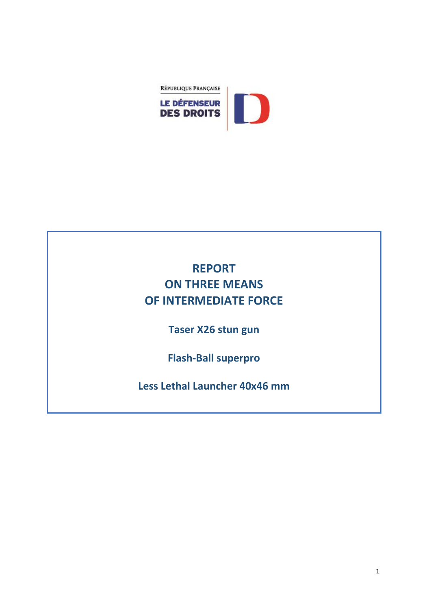

## **REPORT ON THREE MEANS OF INTERMEDIATE FORCE**

**Taser X26 stun gun** 

**Flash-Ball superpro** 

**Less Lethal Launcher 40x46 mm**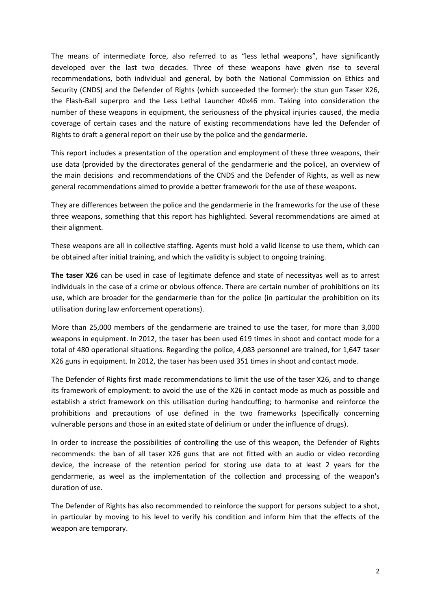The means of intermediate force, also referred to as "less lethal weapons", have significantly developed over the last two decades. Three of these weapons have given rise to several recommendations, both individual and general, by both the National Commission on Ethics and Security (CNDS) and the Defender of Rights (which succeeded the former): the stun gun Taser X26, the Flash-Ball superpro and the Less Lethal Launcher 40x46 mm. Taking into consideration the number of these weapons in equipment, the seriousness of the physical injuries caused, the media coverage of certain cases and the nature of existing recommendations have led the Defender of Rights to draft a general report on their use by the police and the gendarmerie.

This report includes a presentation of the operation and employment of these three weapons, their use data (provided by the directorates general of the gendarmerie and the police), an overview of the main decisions and recommendations of the CNDS and the Defender of Rights, as well as new general recommendations aimed to provide a better framework for the use of these weapons.

They are differences between the police and the gendarmerie in the frameworks for the use of these three weapons, something that this report has highlighted. Several recommendations are aimed at their alignment.

These weapons are all in collective staffing. Agents must hold a valid license to use them, which can be obtained after initial training, and which the validity is subject to ongoing training.

**The taser X26** can be used in case of legitimate defence and state of necessityas well as to arrest individuals in the case of a crime or obvious offence. There are certain number of prohibitions on its use, which are broader for the gendarmerie than for the police (in particular the prohibition on its utilisation during law enforcement operations).

More than 25,000 members of the gendarmerie are trained to use the taser, for more than 3,000 weapons in equipment. In 2012, the taser has been used 619 times in shoot and contact mode for a total of 480 operational situations. Regarding the police, 4,083 personnel are trained, for 1,647 taser X26 guns in equipment. In 2012, the taser has been used 351 times in shoot and contact mode.

The Defender of Rights first made recommendations to limit the use of the taser X26, and to change its framework of employment: to avoid the use of the X26 in contact mode as much as possible and establish a strict framework on this utilisation during handcuffing; to harmonise and reinforce the prohibitions and precautions of use defined in the two frameworks (specifically concerning vulnerable persons and those in an exited state of delirium or under the influence of drugs).

In order to increase the possibilities of controlling the use of this weapon, the Defender of Rights recommends: the ban of all taser X26 guns that are not fitted with an audio or video recording device, the increase of the retention period for storing use data to at least 2 years for the gendarmerie, as weel as the implementation of the collection and processing of the weapon's duration of use.

The Defender of Rights has also recommended to reinforce the support for persons subject to a shot, in particular by moving to his level to verify his condition and inform him that the effects of the weapon are temporary.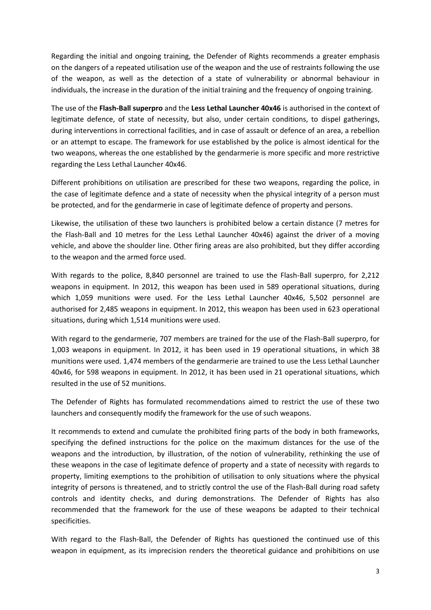Regarding the initial and ongoing training, the Defender of Rights recommends a greater emphasis on the dangers of a repeated utilisation use of the weapon and the use of restraints following the use of the weapon, as well as the detection of a state of vulnerability or abnormal behaviour in individuals, the increase in the duration of the initial training and the frequency of ongoing training.

The use of the **Flash-Ball superpro** and the **Less Lethal Launcher 40x46** is authorised in the context of legitimate defence, of state of necessity, but also, under certain conditions, to dispel gatherings, during interventions in correctional facilities, and in case of assault or defence of an area, a rebellion or an attempt to escape. The framework for use established by the police is almost identical for the two weapons, whereas the one established by the gendarmerie is more specific and more restrictive regarding the Less Lethal Launcher 40x46.

Different prohibitions on utilisation are prescribed for these two weapons, regarding the police, in the case of legitimate defence and a state of necessity when the physical integrity of a person must be protected, and for the gendarmerie in case of legitimate defence of property and persons.

Likewise, the utilisation of these two launchers is prohibited below a certain distance (7 metres for the Flash-Ball and 10 metres for the Less Lethal Launcher 40x46) against the driver of a moving vehicle, and above the shoulder line. Other firing areas are also prohibited, but they differ according to the weapon and the armed force used.

With regards to the police, 8,840 personnel are trained to use the Flash-Ball superpro, for 2,212 weapons in equipment. In 2012, this weapon has been used in 589 operational situations, during which 1,059 munitions were used. For the Less Lethal Launcher 40x46, 5,502 personnel are authorised for 2,485 weapons in equipment. In 2012, this weapon has been used in 623 operational situations, during which 1,514 munitions were used.

With regard to the gendarmerie, 707 members are trained for the use of the Flash-Ball superpro, for 1,003 weapons in equipment. In 2012, it has been used in 19 operational situations, in which 38 munitions were used. 1,474 members of the gendarmerie are trained to use the Less Lethal Launcher 40x46, for 598 weapons in equipment. In 2012, it has been used in 21 operational situations, which resulted in the use of 52 munitions.

The Defender of Rights has formulated recommendations aimed to restrict the use of these two launchers and consequently modify the framework for the use of such weapons.

It recommends to extend and cumulate the prohibited firing parts of the body in both frameworks, specifying the defined instructions for the police on the maximum distances for the use of the weapons and the introduction, by illustration, of the notion of vulnerability, rethinking the use of these weapons in the case of legitimate defence of property and a state of necessity with regards to property, limiting exemptions to the prohibition of utilisation to only situations where the physical integrity of persons is threatened, and to strictly control the use of the Flash-Ball during road safety controls and identity checks, and during demonstrations. The Defender of Rights has also recommended that the framework for the use of these weapons be adapted to their technical specificities.

With regard to the Flash-Ball, the Defender of Rights has questioned the continued use of this weapon in equipment, as its imprecision renders the theoretical guidance and prohibitions on use